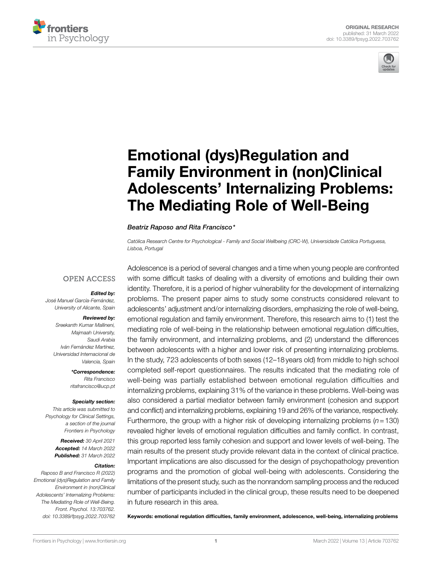



# [Emotional \(dys\)Regulation and](https://www.frontiersin.org/articles/10.3389/fpsyg.2022.703762/full)  [Family Environment in \(non\)Clinical](https://www.frontiersin.org/articles/10.3389/fpsyg.2022.703762/full)  [Adolescents' Internalizing Problems:](https://www.frontiersin.org/articles/10.3389/fpsyg.2022.703762/full)  [The Mediating Role of Well-Being](https://www.frontiersin.org/articles/10.3389/fpsyg.2022.703762/full)

#### *Beatriz Raposo and Rita Francisco\**

*Católica Research Centre for Psychological - Family and Social Wellbeing (CRC-W), Universidade Católica Portuguesa, Lisboa, Portugal*

## **OPEN ACCESS**

#### *Edited by:*

*José Manuel García-Fernández, University of Alicante, Spain*

#### *Reviewed by:*

*Sreekanth Kumar Mallineni, Majmaah University, Saudi Arabia Iván Fernández Martínez, Universidad Internacional de Valencia, Spain*

*\*Correspondence:* 

*Rita Francisco [ritafrancisco@ucp.pt](mailto:ritafrancisco@ucp.pt)*

#### *Specialty section:*

*This article was submitted to Psychology for Clinical Settings, a section of the journal Frontiers in Psychology*

> *Received: 30 April 2021 Accepted: 14 March 2022 Published: 31 March 2022*

#### *Citation:*

*Raposo B and Francisco R (2022) Emotional (dys)Regulation and Family Environment in (non)Clinical Adolescents' Internalizing Problems: The Mediating Role of Well-Being. Front. Psychol. 13:703762. [doi: 10.3389/fpsyg.2022.703762](https://doi.org/10.3389/fpsyg.2022.703762)* Adolescence is a period of several changes and a time when young people are confronted with some difficult tasks of dealing with a diversity of emotions and building their own identity. Therefore, it is a period of higher vulnerability for the development of internalizing problems. The present paper aims to study some constructs considered relevant to adolescents' adjustment and/or internalizing disorders, emphasizing the role of well-being, emotional regulation and family environment. Therefore, this research aims to (1) test the mediating role of well-being in the relationship between emotional regulation difficulties, the family environment, and internalizing problems, and (2) understand the differences between adolescents with a higher and lower risk of presenting internalizing problems. In the study, 723 adolescents of both sexes (12–18years old) from middle to high school completed self-report questionnaires. The results indicated that the mediating role of well-being was partially established between emotional regulation difficulties and internalizing problems, explaining 31% of the variance in these problems. Well-being was also considered a partial mediator between family environment (cohesion and support and conflict) and internalizing problems, explaining 19 and 26% of the variance, respectively. Furthermore, the group with a higher risk of developing internalizing problems (*n*=130) revealed higher levels of emotional regulation difficulties and family conflict. In contrast, this group reported less family cohesion and support and lower levels of well-being. The main results of the present study provide relevant data in the context of clinical practice. Important implications are also discussed for the design of psychopathology prevention programs and the promotion of global well-being with adolescents. Considering the limitations of the present study, such as the nonrandom sampling process and the reduced number of participants included in the clinical group, these results need to be deepened in future research in this area.

Keywords: emotional regulation difficulties, family environment, adolescence, well-being, internalizing problems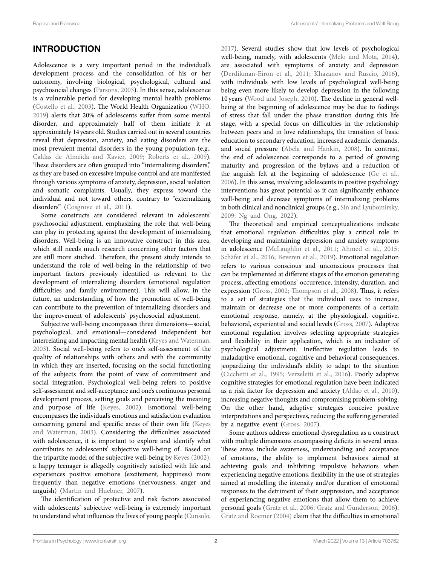# INTRODUCTION

Adolescence is a very important period in the individual's development process and the consolidation of his or her autonomy, involving biological, psychological, cultural and psychosocial changes [\(Parsons, 2003\)](#page-12-0). In this sense, adolescence is a vulnerable period for developing mental health problems ([Costello et al., 2003\)](#page-10-0). The World Health Organization [\(WHO,](#page-12-1)  [2019\)](#page-12-1) alerts that 20% of adolescents suffer from some mental disorder, and approximately half of them initiate it at approximately 14years old. Studies carried out in several countries reveal that depression, anxiety, and eating disorders are the most prevalent mental disorders in the young population (e.g., [Caldas de Almeida and Xavier, 2009;](#page-10-1) [Roberts et al., 2009](#page-12-2)). These disorders are often grouped into "internalizing disorders," as they are based on excessive impulse control and are manifested through various symptoms of anxiety, depression, social isolation and somatic complaints. Usually, they express toward the individual and not toward others, contrary to "externalizing disorders" (Cosgrove et al., 2011).

Some constructs are considered relevant in adolescents' psychosocial adjustment, emphasizing the role that well-being can play in protecting against the development of internalizing disorders. Well-being is an innovative construct in this area, which still needs much research concerning other factors that are still more studied. Therefore, the present study intends to understand the role of well-being in the relationship of two important factors previously identified as relevant to the development of internalizing disorders (emotional regulation difficulties and family environment). This will allow, in the future, an understanding of how the promotion of well-being can contribute to the prevention of internalizing disorders and the improvement of adolescents' psychosocial adjustment.

Subjective well-being encompasses three dimensions—social, psychological, and emotional—considered independent but interrelating and impacting mental health [\(Keyes and Waterman,](#page-11-0)  [2003\)](#page-11-0). Social well-being refers to one's self-assessment of the quality of relationships with others and with the community in which they are inserted, focusing on the social functioning of the subjects from the point of view of commitment and social integration. Psychological well-being refers to positive self-assessment and self-acceptance and one's continuous personal development process, setting goals and perceiving the meaning and purpose of life ([Keyes, 2002](#page-11-1)). Emotional well-being encompasses the individual's emotions and satisfaction evaluation concerning general and specific areas of their own life [\(Keyes](#page-11-0)  [and Waterman, 2003](#page-11-0)). Considering the difficulties associated with adolescence, it is important to explore and identify what contributes to adolescents' subjective well-being of. Based on the tripartite model of the subjective well-being by [Keyes \(2002\)](#page-11-1), a happy teenager is allegedly cognitively satisfied with life and experiences positive emotions (excitement, happiness) more frequently than negative emotions (nervousness, anger and anguish) ([Martin and Huebner, 2007](#page-11-2)).

The identification of protective and risk factors associated with adolescents' subjective well-being is extremely important to understand what influences the lives of young people [\(Cunsolo,](#page-10-3)  [2017\)](#page-10-3). Several studies show that low levels of psychological well-being, namely, with adolescents [\(Melo and Mota, 2014](#page-11-3)), are associated with symptoms of anxiety and depression [\(Derdikman-Eiron et al., 2011](#page-10-4); [Khazanov and Ruscio, 2016](#page-11-4)), with individuals with low levels of psychological well-being being even more likely to develop depression in the following 10 years ([Wood and Joseph, 2010](#page-12-3)). The decline in general wellbeing at the beginning of adolescence may be due to feelings of stress that fall under the phase transition during this life stage, with a special focus on difficulties in the relationship between peers and in love relationships, the transition of basic education to secondary education, increased academic demands, and social pressure ([Abela and Hankin, 2008\)](#page-10-5). In contrast, the end of adolescence corresponds to a period of growing maturity and progression of the bylaws and a reduction of the anguish felt at the beginning of adolescence [\(Ge et al.,](#page-11-5)  [2006\)](#page-11-5). In this sense, involving adolescents in positive psychology interventions has great potential as it can significantly enhance well-being and decrease symptoms of internalizing problems in both clinical and nonclinical groups (e.g., [Sin and Lyubomirsky,](#page-12-4)  [2009;](#page-12-4) [Ng and Ong, 2022\)](#page-11-6).

The theoretical and empirical conceptualizations indicate that emotional regulation difficulties play a critical role in developing and maintaining depression and anxiety symptoms in adolescence [\(McLaughlin et al., 2011](#page-11-7); [Ahmed et al., 2015;](#page-10-6) [Schäfer et al., 2016](#page-12-5); [Beveren et al., 2019\)](#page-10-7). Emotional regulation refers to various conscious and unconscious processes that can be implemented at different stages of the emotion generating process, affecting emotions' occurrence, intensity, duration, and expression [\(Gross, 2002;](#page-11-8) [Thompson et al., 2008](#page-12-6)). Thus, it refers to a set of strategies that the individual uses to increase, maintain or decrease one or more components of a certain emotional response, namely, at the physiological, cognitive, behavioral, experiential and social levels [\(Gross, 2007](#page-11-9)). Adaptive emotional regulation involves selecting appropriate strategies and flexibility in their application, which is an indicator of psychological adjustment. Ineffective regulation leads to maladaptive emotional, cognitive and behavioral consequences, jeopardizing the individual's ability to adapt to the situation [\(Cicchetti et al., 1995](#page-10-8); [Verzeletti et al., 2016\)](#page-12-7). Poorly adaptive cognitive strategies for emotional regulation have been indicated as a risk factor for depression and anxiety ([Aldao et al., 2010](#page-10-9)), increasing negative thoughts and compromising problem-solving. On the other hand, adaptive strategies conceive positive interpretations and perspectives, reducing the suffering generated by a negative event [\(Gross, 2007\)](#page-11-9).

Some authors address emotional dysregulation as a construct with multiple dimensions encompassing deficits in several areas. These areas include awareness, understanding and acceptance of emotions, the ability to implement behaviors aimed at achieving goals and inhibiting impulsive behaviors when experiencing negative emotions, flexibility in the use of strategies aimed at modelling the intensity and/or duration of emotional responses to the detriment of their suppression, and acceptance of experiencing negative emotions that allow them to achieve personal goals ([Gratz et al., 2006;](#page-11-10) [Gratz and Gunderson, 2006](#page-11-11)). [Gratz and Roemer \(2004\)](#page-11-12) claim that the difficulties in emotional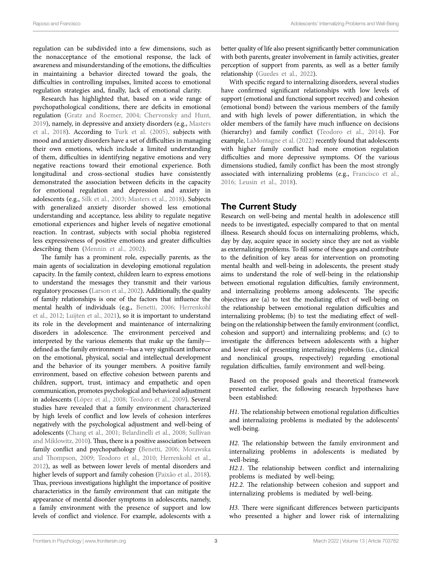regulation can be subdivided into a few dimensions, such as the nonacceptance of the emotional response, the lack of awareness and misunderstanding of the emotions, the difficulties in maintaining a behavior directed toward the goals, the difficulties in controlling impulses, limited access to emotional regulation strategies and, finally, lack of emotional clarity.

Research has highlighted that, based on a wide range of psychopathological conditions, there are deficits in emotional regulation [\(Gratz and Roemer, 2004;](#page-11-12) [Chervonsky and Hunt,](#page-10-10)  [2019\)](#page-10-10), namely, in depressive and anxiety disorders (e.g., [Masters](#page-11-13)  [et al., 2018](#page-11-13)). According to [Turk et al. \(2005\),](#page-12-8) subjects with mood and anxiety disorders have a set of difficulties in managing their own emotions, which include a limited understanding of them, difficulties in identifying negative emotions and very negative reactions toward their emotional experience. Both longitudinal and cross-sectional studies have consistently demonstrated the association between deficits in the capacity for emotional regulation and depression and anxiety in adolescents (e.g., [Silk et al., 2003;](#page-12-9) [Masters et al., 2018](#page-11-13)). Subjects with generalized anxiety disorder showed less emotional understanding and acceptance, less ability to regulate negative emotional experiences and higher levels of negative emotional reaction. In contrast, subjects with social phobia registered less expressiveness of positive emotions and greater difficulties describing them (Mennin et al., 2002).

The family has a prominent role, especially parents, as the main agents of socialization in developing emotional regulation capacity. In the family context, children learn to express emotions to understand the messages they transmit and their various regulatory processes [\(Larson et al., 2002\)](#page-11-15). Additionally, the quality of family relationships is one of the factors that influence the mental health of individuals (e.g., [Benetti, 2006;](#page-10-11) [Herrenkohl](#page-11-16)  [et al., 2012](#page-11-16); [Luijten et al., 2021](#page-11-17)), so it is important to understand its role in the development and maintenance of internalizing disorders in adolescence. The environment perceived and interpreted by the various elements that make up the family defined as the family environment—has a very significant influence on the emotional, physical, social and intellectual development and the behavior of its younger members. A positive family environment, based on effective cohesion between parents and children, support, trust, intimacy and empathetic and open communication, promotes psychological and behavioral adjustment in adolescents [\(López et al., 2008](#page-11-18); [Teodoro et al., 2009](#page-12-10)). Several studies have revealed that a family environment characterized by high levels of conflict and low levels of cohesion interferes negatively with the psychological adjustment and well-being of adolescents [\(Chang et al., 2001](#page-10-12); [Belardinelli et al., 2008;](#page-10-13) [Sullivan](#page-12-11)  [and Miklowitz, 2010](#page-12-11)). Thus, there is a positive association between family conflict and psychopathology ([Benetti, 2006](#page-10-11); Morawska [and Thompson, 2009](#page-11-19); [Teodoro et al., 2010;](#page-12-12) [Herrenkohl et al.,](#page-11-16)  [2012](#page-11-16)), as well as between lower levels of mental disorders and higher levels of support and family cohesion ([Paixão et al., 2018](#page-11-20)). Thus, previous investigations highlight the importance of positive characteristics in the family environment that can mitigate the appearance of mental disorder symptoms in adolescents, namely, a family environment with the presence of support and low levels of conflict and violence. For example, adolescents with a

better quality of life also present significantly better communication with both parents, greater involvement in family activities, greater perception of support from parents, as well as a better family relationship [\(Guedes et al., 2022\)](#page-11-21).

With specific regard to internalizing disorders, several studies have confirmed significant relationships with low levels of support (emotional and functional support received) and cohesion (emotional bond) between the various members of the family and with high levels of power differentiation, in which the older members of the family have much influence on decisions (hierarchy) and family conflict [\(Teodoro et al., 2014\)](#page-12-13). For example, [LaMontagne et al. \(2022\)](#page-11-22) recently found that adolescents with higher family conflict had more emotion regulation difficulties and more depressive symptoms. Of the various dimensions studied, family conflict has been the most strongly associated with internalizing problems (e.g., [Francisco et al.,](#page-11-23)  [2016;](#page-11-23) [Leusin et al., 2018\)](#page-11-24).

# The Current Study

Research on well-being and mental health in adolescence still needs to be investigated, especially compared to that on mental illness. Research should focus on internalizing problems, which, day by day, acquire space in society since they are not as visible as externalizing problems. To fill some of these gaps and contribute to the definition of key areas for intervention on promoting mental health and well-being in adolescents, the present study aims to understand the role of well-being in the relationship between emotional regulation difficulties, family environment, and internalizing problems among adolescents. The specific objectives are (a) to test the mediating effect of well-being on the relationship between emotional regulation difficulties and internalizing problems; (b) to test the mediating effect of wellbeing on the relationship between the family environment (conflict, cohesion and support) and internalizing problems; and (c) to investigate the differences between adolescents with a higher and lower risk of presenting internalizing problems (i.e., clinical and nonclinical groups, respectively) regarding emotional regulation difficulties, family environment and well-being.

Based on the proposed goals and theoretical framework presented earlier, the following research hypotheses have been established:

*H1*. The relationship between emotional regulation difficulties and internalizing problems is mediated by the adolescents' well-being.

*H2*. The relationship between the family environment and internalizing problems in adolescents is mediated by well-being.

*H2.1*. The relationship between conflict and internalizing problems is mediated by well-being;

*H2.2*. The relationship between cohesion and support and internalizing problems is mediated by well-being.

*H3*. There were significant differences between participants who presented a higher and lower risk of internalizing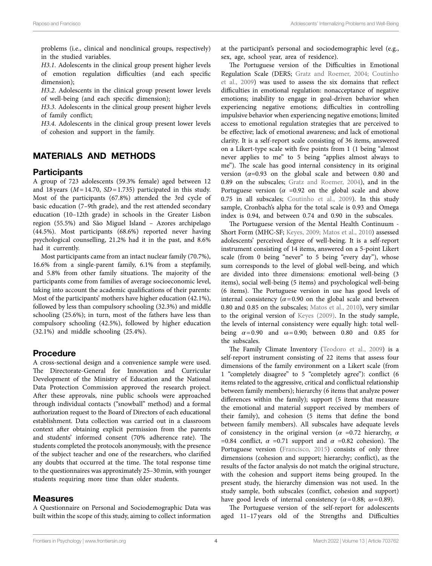problems (i.e., clinical and nonclinical groups, respectively) in the studied variables.

*H3.1*. Adolescents in the clinical group present higher levels of emotion regulation difficulties (and each specific dimension);

*H3.2*. Adolescents in the clinical group present lower levels of well-being (and each specific dimension);

*H3.3*. Adolescents in the clinical group present higher levels of family conflict;

*H3.4*. Adolescents in the clinical group present lower levels of cohesion and support in the family.

# MATERIALS AND METHODS

### **Participants**

A group of 723 adolescents (59.3% female) aged between 12 and 18 years (*M*=14.70, *SD*=1.735) participated in this study. Most of the participants (67.8%) attended the 3rd cycle of basic education (7–9th grade), and the rest attended secondary education (10–12th grade) in schools in the Greater Lisbon region (55.5%) and São Miguel Island – Azores archipelago (44.5%). Most participants (68.6%) reported never having psychological counselling, 21.2% had it in the past, and 8.6% had it currently.

Most participants came from an intact nuclear family (70.7%), 16.6% from a single-parent family, 6.1% from a stepfamily, and 5.8% from other family situations. The majority of the participants come from families of average socioeconomic level, taking into account the academic qualifications of their parents: Most of the participants' mothers have higher education (42.1%), followed by less than compulsory schooling (32.3%) and middle schooling (25.6%); in turn, most of the fathers have less than compulsory schooling (42.5%), followed by higher education (32.1%) and middle schooling (25.4%).

# Procedure

A cross-sectional design and a convenience sample were used. The Directorate-General for Innovation and Curricular Development of the Ministry of Education and the National Data Protection Commission approved the research project. After these approvals, nine public schools were approached through individual contacts ("snowball" method) and a formal authorization request to the Board of Directors of each educational establishment. Data collection was carried out in a classroom context after obtaining explicit permission from the parents and students' informed consent (70% adherence rate). The students completed the protocols anonymously, with the presence of the subject teacher and one of the researchers, who clarified any doubts that occurred at the time. The total response time to the questionnaires was approximately 25–30min, with younger students requiring more time than older students.

#### Measures

A Questionnaire on Personal and Sociodemographic Data was built within the scope of this study, aiming to collect information at the participant's personal and sociodemographic level (e.g., sex, age, school year, area of residence).

The Portuguese version of the Difficulties in Emotional Regulation Scale (DERS; [Gratz and Roemer, 2004](#page-11-12); [Coutinho](#page-10-14)  [et al., 2009\)](#page-10-14) was used to assess the six domains that reflect difficulties in emotional regulation: nonacceptance of negative emotions; inability to engage in goal-driven behavior when experiencing negative emotions; difficulties in controlling impulsive behavior when experiencing negative emotions; limited access to emotional regulation strategies that are perceived to be effective; lack of emotional awareness; and lack of emotional clarity. It is a self-report scale consisting of 36 items, answered on a Likert-type scale with five points from 1 (1 being "almost never applies to me" to 5 being "applies almost always to me"). The scale has good internal consistency in its original version  $(\alpha=0.93)$  on the global scale and between 0.80 and 0.89 on the subscales; [Gratz and Roemer, 2004\)](#page-11-12), and in the Portuguese version ( $\alpha$  =0.92 on the global scale and above 0.75 in all subscales; [Coutinho et al., 2009](#page-10-14)). In this study sample, Cronbach's alpha for the total scale is 0.93 and Omega index is 0.94, and between 0.74 and 0.90 in the subscales.

The Portuguese version of the Mental Health Continuum - Short Form (MHC-SF; [Keyes, 2009;](#page-11-25) [Matos et al., 2010\)](#page-11-26) assessed adolescents' perceived degree of well-being. It is a self-report instrument consisting of 14 items, answered on a 5-point Likert scale (from 0 being "never" to 5 being "every day"), whose sum corresponds to the level of global well-being, and which are divided into three dimensions: emotional well-being (3 items), social well-being (5 items) and psychological well-being (6 items). The Portuguese version in use has good levels of internal consistency  $(a=0.90$  on the global scale and between 0.80 and 0.85 on the subscales; [Matos et al., 2010\)](#page-11-26), very similar to the original version of [Keyes \(2009\)](#page-11-25). In the study sample, the levels of internal consistency were equally high: total wellbeing  $\alpha = 0.90$  and  $\omega = 0.90$ ; between 0.80 and 0.85 for the subscales.

The Family Climate Inventory [\(Teodoro et al., 2009](#page-12-10)) is a self-report instrument consisting of 22 items that assess four dimensions of the family environment on a Likert scale (from 1 "completely disagree" to 5 "completely agree"): conflict (6 items related to the aggressive, critical and conflictual relationship between family members); hierarchy (6 items that analyze power differences within the family); support (5 items that measure the emotional and material support received by members of their family), and cohesion (5 items that define the bond between family members). All subscales have adequate levels of consistency in the original version (*α* =0.72 hierarchy, *α* =0.84 conflict,  $\alpha$  =0.71 support and  $\alpha$  =0.82 cohesion). The Portuguese version [\(Francisco, 2015](#page-11-27)) consists of only three dimensions (cohesion and support; hierarchy; conflict), as the results of the factor analysis do not match the original structure, with the cohesion and support items being grouped. In the present study, the hierarchy dimension was not used. In the study sample, both subscales (conflict, cohesion and support) have good levels of internal consistency ( $\alpha$ =0.88;  $\omega$ =0.89).

The Portuguese version of the self-report for adolescents aged 11–17 years old of the Strengths and Difficulties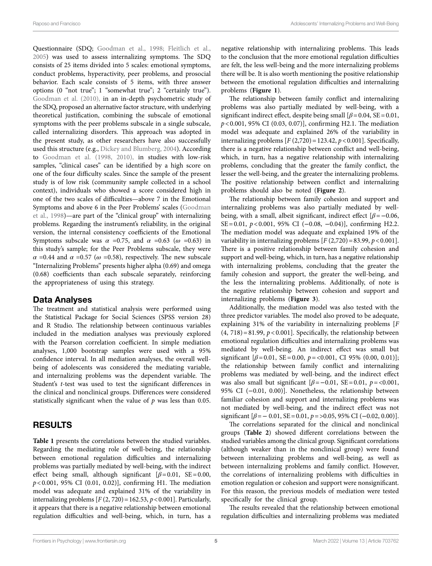Questionnaire (SDQ; [Goodman et al., 1998](#page-11-28); [Fleitlich et al.,](#page-11-29)  [2005\)](#page-11-29) was used to assess internalizing symptoms. The SDQ consists of 25 items divided into 5 scales: emotional symptoms, conduct problems, hyperactivity, peer problems, and prosocial behavior. Each scale consists of 5 items, with three answer options (0 "not true"; 1 "somewhat true"; 2 "certainly true"). [Goodman et al. \(2010\)](#page-11-30), in an in-depth psychometric study of the SDQ, proposed an alternative factor structure, with underlying theoretical justification, combining the subscale of emotional symptoms with the peer problems subscale in a single subscale, called internalizing disorders. This approach was adopted in the present study, as other researchers have also successfully used this structure (e.g., [Dickey and Blumberg, 2004](#page-11-31)). According to [Goodman et al. \(1998,](#page-11-28) [2010\)](#page-11-30), in studies with low-risk samples, "clinical cases" can be identified by a high score on one of the four difficulty scales. Since the sample of the present study is of low risk (community sample collected in a school context), individuals who showed a score considered high in one of the two scales of difficulties—above 7 in the Emotional Symptoms and above 6 in the Peer Problems' scales ([Goodman](#page-11-28)  [et al., 1998\)](#page-11-28)—are part of the "clinical group" with internalizing problems. Regarding the instrument's reliability, in the original version, the internal consistency coefficients of the Emotional Symptoms subscale was  $\alpha$  =0.75, and  $\alpha$  =0.63 ( $\omega$  =0.63) in this study's sample; for the Peer Problems subscale, they were  $\alpha$  =0.44 and  $\alpha$  =0.57 ( $\omega$  =0.58), respectively. The new subscale "Internalizing Problems" presents higher alpha (0.69) and omega (0.68) coefficients than each subscale separately, reinforcing the appropriateness of using this strategy.

### Data Analyses

The treatment and statistical analysis were performed using the Statistical Package for Social Sciences (SPSS version 28) and R Studio. The relationship between continuous variables included in the mediation analyses was previously explored with the Pearson correlation coefficient. In simple mediation analyses, 1,000 bootstrap samples were used with a 95% confidence interval. In all mediation analyses, the overall wellbeing of adolescents was considered the mediating variable, and internalizing problems was the dependent variable. The Student's *t*-test was used to test the significant differences in the clinical and nonclinical groups. Differences were considered statistically significant when the value of *p* was less than 0.05.

## RESULTS

**[Table 1](#page-5-0)** presents the correlations between the studied variables. Regarding the mediating role of well-being, the relationship between emotional regulation difficulties and internalizing problems was partially mediated by well-being, with the indirect effect being small, although significant  $[\beta=0.01, \text{ SE}=0.00,$ *p*<0.001, 95% CI (0.01, 0.02)], confirming H1. The mediation model was adequate and explained 31% of the variability in internalizing problems  $[F(2, 720) = 162.53, p < 0.001]$ . Particularly, it appears that there is a negative relationship between emotional regulation difficulties and well-being, which, in turn, has a negative relationship with internalizing problems. This leads to the conclusion that the more emotional regulation difficulties are felt, the less well-being and the more internalizing problems there will be. It is also worth mentioning the positive relationship between the emotional regulation difficulties and internalizing problems (**[Figure 1](#page-6-0)**).

The relationship between family conflict and internalizing problems was also partially mediated by well-being, with a significant indirect effect, despite being small  $\beta$  = 0.04, SE = 0.01, *p*<0.001, 95% CI (0.03, 0.07)], confirming H2.1. The mediation model was adequate and explained 26% of the variability in internalizing problems  $[F(2,720) = 123.42, p < 0.001]$ . Specifically, there is a negative relationship between conflict and well-being, which, in turn, has a negative relationship with internalizing problems, concluding that the greater the family conflict, the lesser the well-being, and the greater the internalizing problems. The positive relationship between conflict and internalizing problems should also be noted (**[Figure 2](#page-6-1)**).

The relationship between family cohesion and support and internalizing problems was also partially mediated by wellbeing, with a small, albeit significant, indirect effect [*β*=−0.06, SE=0.01, *p*<0.001, 95% CI (−0.08, −0.04)], confirming H2.2. The mediation model was adequate and explained 19% of the variability in internalizing problems  $[F(2,720) = 83.99, p < 0.001]$ . There is a positive relationship between family cohesion and support and well-being, which, in turn, has a negative relationship with internalizing problems, concluding that the greater the family cohesion and support, the greater the well-being, and the less the internalizing problems. Additionally, of note is the negative relationship between cohesion and support and internalizing problems (**[Figure 3](#page-6-2)**).

Additionally, the mediation model was also tested with the three predictor variables. The model also proved to be adequate, explaining 31% of the variability in internalizing problems [*F*  $(4, 718) = 81.99$ ,  $p < 0.001$ ]. Specifically, the relationship between emotional regulation difficulties and internalizing problems was mediated by well-being. An indirect effect was small but significant [*β*=0.01, SE=0.00, *p*=<0.001, CI 95% (0.00, 0.01)]; the relationship between family conflict and internalizing problems was mediated by well-being, and the indirect effect was also small but significant  $\beta = -0.01$ ,  $SE = 0.01$ ,  $p = <0.001$ , 95% CI (−0.01, 0.00)]. Nonetheless, the relationship between familiar cohesion and support and internalizing problems was not mediated by well-being, and the indirect effect was not significant  $[\beta = 0.01, \text{ SE} = 0.01, p = 0.05, 95\% \text{ CI } (-0.02, 0.00)].$ 

The correlations separated for the clinical and nonclinical groups (**[Table 2](#page-7-0)**) showed different correlations between the studied variables among the clinical group. Significant correlations (although weaker than in the nonclinical group) were found between internalizing problems and well-being, as well as between internalizing problems and family conflict. However, the correlations of internalizing problems with difficulties in emotion regulation or cohesion and support were nonsignificant. For this reason, the previous models of mediation were tested specifically for the clinical group.

The results revealed that the relationship between emotional regulation difficulties and internalizing problems was mediated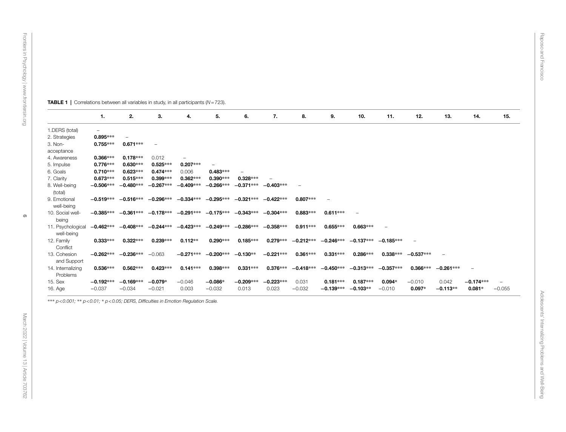|                                 | 1.                       | 2.          | З.                                              | 4.          | 5.                                  | 6.          | 7.          | 8.                | 9.                      | 10.         | 11.         | 12.         | 13.         | 14.         | 15.      |
|---------------------------------|--------------------------|-------------|-------------------------------------------------|-------------|-------------------------------------|-------------|-------------|-------------------|-------------------------|-------------|-------------|-------------|-------------|-------------|----------|
| 1.DERS (total)                  | $\overline{\phantom{m}}$ |             |                                                 |             |                                     |             |             |                   |                         |             |             |             |             |             |          |
| 2. Strategies                   | 0.895***                 |             |                                                 |             |                                     |             |             |                   |                         |             |             |             |             |             |          |
| 3. Non-<br>acceptance           | $0.755***$               | $0.671***$  | $\qquad \qquad =$                               |             |                                     |             |             |                   |                         |             |             |             |             |             |          |
| 4. Awareness                    | $0.366***$               | $0.178***$  | 0.012                                           |             |                                     |             |             |                   |                         |             |             |             |             |             |          |
| 5. Impulse                      | $0.776***$               | $0.630***$  | $0.525***$                                      | $0.207***$  |                                     |             |             |                   |                         |             |             |             |             |             |          |
| 6. Goals                        | $0.710***$               | $0.623***$  | $0.474***$                                      | 0.006       | $0.483***$                          |             |             |                   |                         |             |             |             |             |             |          |
| 7. Clarity                      | $0.673***$               | $0.515***$  | $0.399***$                                      | $0.362***$  | 0.390***                            | $0.328***$  |             |                   |                         |             |             |             |             |             |          |
| 8. Well-being<br>(total)        | $-0.506***$              | $-0.480***$ | $-0.267***$                                     | $-0.409***$ | $-0.266***$                         | $-0.371***$ | $-0.403***$ | $\qquad \qquad -$ |                         |             |             |             |             |             |          |
| 9. Emotional<br>well-being      |                          |             | $-0.519***$ $-0.516***$ $-0.296***$             | $-0.334***$ | $-0.295***$                         | $-0.321***$ | $-0.422***$ | $0.807***$        |                         |             |             |             |             |             |          |
| 10. Social well-<br>being       |                          |             | $-0.385***$ $-0.361***$ $-0.178***$ $-0.291***$ |             | $-0.175***$ $-0.343***$ $-0.304***$ |             |             | $0.883***$        | $0.611***$              |             |             |             |             |             |          |
| 11. Psychological<br>well-being | $-0.462***$              |             | $-0.408***$ $-0.244***$                         | $-0.423***$ | $-0.249***$                         | $-0.286***$ | $-0.358***$ | $0.911***$        | $0.655***$              | $0.663***$  |             |             |             |             |          |
| 12. Family<br>Conflict          | $0.333***$               | $0.322***$  | $0.239***$                                      | $0.112**$   | $0.290***$                          | $0.185***$  | $0.279***$  | $-0.212***$       | $-0.246***$             | $-0.137***$ | $-0.185***$ |             |             |             |          |
| 13. Cohesion<br>and Support     | $-0.262***$              | $-0.236***$ | $-0.063$                                        | $-0.271***$ | $-0.200***$                         | $-0.130**$  | $-0.221***$ | $0.361***$        | $0.331***$              | 0.286***    | $0.338***$  | $-0.537***$ |             |             |          |
| 14. Internalizing<br>Problems   | $0.536***$               | $0.562***$  | $0.423***$                                      | $0.141***$  | $0.398***$                          | $0.331***$  | $0.376***$  |                   | $-0.418***$ $-0.450***$ | $-0.313***$ | $-0.357***$ | $0.366***$  | $-0.261***$ |             |          |
| 15. Sex                         | $-0.192***$              | $-0.169***$ | $-0.079*$                                       | $-0.046$    | $-0.086*$                           | $-0.209***$ | $-0.223***$ | 0.031             | $0.181***$              | $0.187***$  | $0.094*$    | $-0.010$    | 0.042       | $-0.174***$ |          |
| 16. Age                         | $-0.037$                 | $-0.034$    | $-0.021$                                        | 0.003       | $-0.032$                            | 0.013       | 0.023       | $-0.032$          | $-0.139***$             | $-0.103**$  | $-0.010$    | $0.097*$    | $-0.113**$  | $0.081*$    | $-0.055$ |

<span id="page-5-0"></span>\*\*\* *p<0.001;* \*\* *p<0.01;* \* *p<0.05; DERS, Difficulties in Emotion Regulation Scale.*

TABLE 1 | Correlations between all variables in study, in all participants (*N*=723).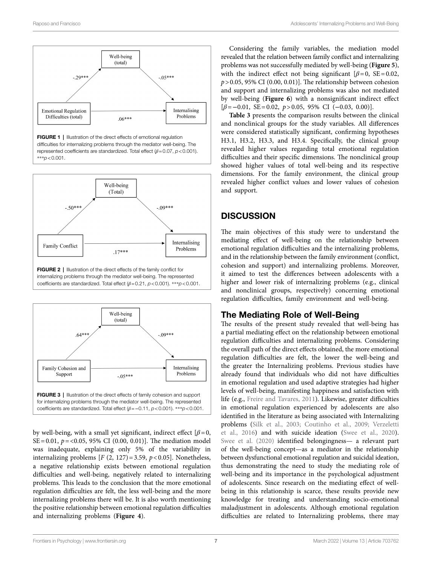<span id="page-6-0"></span>



<span id="page-6-1"></span>

internalizing problems through the mediator well-being. The represented coefficients are standardized. Total effect (*β*=0.21, *p*<0.001). \*\*\**p*<0.001.

<span id="page-6-2"></span>

by well-being, with a small yet significant, indirect effect  $[\beta=0,$ SE=0.01, *p*=<0.05, 95% CI (0.00, 0.01)]. The mediation model was inadequate, explaining only 5% of the variability in internalizing problems  $[F(2, 127) = 3.59, p < 0.05]$ . Nonetheless, a negative relationship exists between emotional regulation difficulties and well-being, negatively related to internalizing problems. This leads to the conclusion that the more emotional regulation difficulties are felt, the less well-being and the more internalizing problems there will be. It is also worth mentioning the positive relationship between emotional regulation difficulties and internalizing problems (**[Figure 4](#page-8-0)**).

Considering the family variables, the mediation model revealed that the relation between family conflict and internalizing problems was not successfully mediated by well-being (**[Figure 5](#page-8-1)**), with the indirect effect not being significant  $\beta = 0$ , SE = 0.02,  $p > 0.05$ , 95% CI (0.00, 0.01)]. The relationship between cohesion and support and internalizing problems was also not mediated by well-being (**[Figure 6](#page-8-2)**) with a nonsignificant indirect effect [*β*=−0.01, SE=0.02, *p*>0.05, 95% CI (−0.03, 0.00)].

**[Table 3](#page-8-3)** presents the comparison results between the clinical and nonclinical groups for the study variables. All differences were considered statistically significant, confirming hypotheses H3.1, H3.2, H3.3, and H3.4. Specifically, the clinical group revealed higher values regarding total emotional regulation difficulties and their specific dimensions. The nonclinical group showed higher values of total well-being and its respective dimensions. For the family environment, the clinical group revealed higher conflict values and lower values of cohesion and support.

### **DISCUSSION**

The main objectives of this study were to understand the mediating effect of well-being on the relationship between emotional regulation difficulties and the internalizing problems, and in the relationship between the family environment (conflict, cohesion and support) and internalizing problems. Moreover, it aimed to test the differences between adolescents with a higher and lower risk of internalizing problems (e.g., clinical and nonclinical groups, respectively) concerning emotional regulation difficulties, family environment and well-being.

### The Mediating Role of Well-Being

The results of the present study revealed that well-being has a partial mediating effect on the relationship between emotional regulation difficulties and internalizing problems. Considering the overall path of the direct effects obtained, the more emotional regulation difficulties are felt, the lower the well-being and the greater the Internalizing problems. Previous studies have already found that individuals who did not have difficulties in emotional regulation and used adaptive strategies had higher levels of well-being, manifesting happiness and satisfaction with life (e.g., [Freire and Tavares, 2011\)](#page-11-32). Likewise, greater difficulties in emotional regulation experienced by adolescents are also identified in the literature as being associated with Internalizing problems [\(Silk et al., 2003;](#page-12-9) [Coutinho et al., 2009;](#page-10-14) [Verzeletti](#page-12-7)  [et al., 2016](#page-12-7)) and with suicide ideation ([Swee et al., 2020](#page-12-14)). Swee et al. (2020) identified belongingness- a relevant part of the well-being concept—as a mediator in the relationship between dysfunctional emotional regulation and suicidal ideation, thus demonstrating the need to study the mediating role of well-being and its importance in the psychological adjustment of adolescents. Since research on the mediating effect of wellbeing in this relationship is scarce, these results provide new knowledge for treating and understanding socio-emotional maladjustment in adolescents. Although emotional regulation difficulties are related to Internalizing problems, there may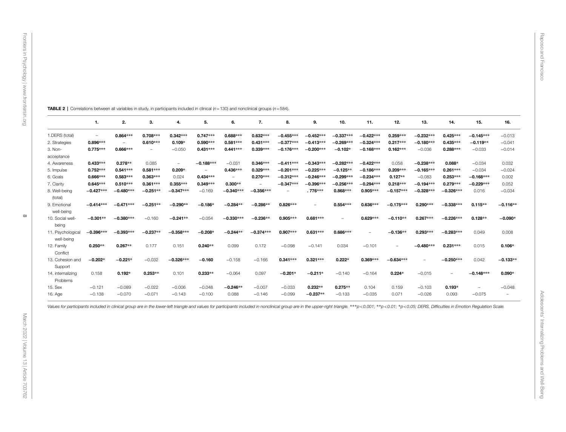$\infty$ 

|                                | 1.                       | 2.          | 3.         | 4.          | 5.                       | 6.          | 7.          | 8.                | 9.          | 10.         | 11.                      | 12.         | 13.         | 14.                      | 15.         | 16.                      |
|--------------------------------|--------------------------|-------------|------------|-------------|--------------------------|-------------|-------------|-------------------|-------------|-------------|--------------------------|-------------|-------------|--------------------------|-------------|--------------------------|
| 1.DERS (total)                 | $\overline{\phantom{m}}$ | 0.864***    | 0.708***   | $0.342***$  | $0.747***$               | 0.688***    | $0.632***$  | $-0.455***$       | $-0.452***$ | $-0.337***$ | $-0.422***$              | 0.259***    | $-0.232***$ | 0.425***                 | $-0.145***$ | $-0.013$                 |
| 2. Strategies                  | 0.896***                 |             | $0.610***$ | $0.109*$    | $0.590***$               | $0.581***$  | $0.431***$  | $-0.377***$       | $-0.413***$ | $-0.269***$ | $-0.324***$              | 0.217***    | $-0.180***$ | 0.435***                 | $-0.119**$  | $-0.041$                 |
| 3. Non-                        | $0.775***$               | 0.666***    |            | $-0.050$    | $0.431***$               | $0.441***$  | $0.339***$  | $-0.176***$       | $-0.200***$ | $-0.102*$   | $-0.168***$              | $0.162***$  | $-0.036$    | $0.288***$               | $-0.033$    | $-0.014$                 |
| acceptance                     |                          |             |            |             |                          |             |             |                   |             |             |                          |             |             |                          |             |                          |
| 4. Awareness                   | $0.433***$               | $0.278**$   | 0.085      | $\equiv$    | $-0.188***$              | $-0.031$    | 0.346***    | $-0.411***$       | $-0.343***$ | $-0.282***$ | $-0.422***$              | 0.058       | $-0.238***$ | $0.088*$                 | $-0.034$    | 0.032                    |
| 5. Impulse                     | $0.752***$               | $0.541***$  | $0.581***$ | $0.209*$    | $\overline{\phantom{a}}$ | 0.436***    | $0.329***$  | $-0.201***$       | $-0.225***$ | $-0.125**$  | $-0.186***$              | 0.209***    | $-0.165***$ | $0.261***$               | $-0.034$    | $-0.024$                 |
| 6. Goals                       | 0.666***                 | $0.583***$  | $0.363***$ | 0.024       | $0.434***$               | $\equiv$    | 0.270 ***   | $-0.312***$       | $-0.246***$ | $-0.299***$ | $-0.234***$              | $0.127**$   | $-0.083$    | $0.253***$               | $-0.168***$ | 0.002                    |
| 7. Clarity                     | $0.645***$               | $0.510***$  | $0.361***$ | $0.355***$  | $0.349***$               | $0.300**$   |             | $-0.347***$       | $-0.396***$ | $-0.256***$ | $-0.294***$              | 0.218***    | $-0.194***$ | $0.279***$               | $-0.229***$ | 0.052                    |
| 8. Well-being                  | $-0.427***$              | $-0.480***$ | $-0.251**$ | $-0.347***$ | $-0.169$                 | $-0.340***$ | $-0.356***$ | $\qquad \qquad -$ | .776***     | 0.868***    | 0.905***                 | $-0.157***$ | $-0.328***$ | $-0.326***$              | 0.016       | $-0.034$                 |
| (total)                        |                          |             |            |             |                          |             |             |                   |             |             |                          |             |             |                          |             |                          |
| 9. Emotional                   | $-0.414***$              | $-0.471***$ | $-0.251**$ | $-0.290**$  | $-0.186*$                | $-0.284**$  | $-0.286**$  | 0.826***          |             | 0.554 ***   | 0.636***                 | $-0.175***$ | 0.290***    | $-0.338***$              | $0.115**$   | $-0.116**$               |
| well-being                     |                          |             |            |             |                          |             |             |                   |             |             |                          |             |             |                          |             |                          |
| 10. Social well-               | $-0.301**$               | $-0.380***$ | $-0.160$   | $-0.241**$  | $-0.054$                 | $-0.330***$ | $-0.236**$  | 0.905***          | $0.681***$  |             | 0.629***                 | $-0.110**$  | 0.267***    | $-0.226***$              | $0.128**$   | $-0.090*$                |
| being                          |                          |             |            |             |                          |             |             |                   |             |             |                          |             |             |                          |             |                          |
| 11. Psychologica<br>well-being | $-0.396***$              | $-0.393***$ | $-0.237**$ | $-0.358***$ | $-0.208*$                | $-0.244**$  | $-0.374***$ | 0.907***          | $0.631***$  | 0.686***    | $\overline{\phantom{0}}$ | $-0.136**$  | 0.293***    | $-0.283***$              | 0.049       | 0.008                    |
| 12. Family                     | $0.250**$                | $0.267**$   | 0.177      | 0.151       | $0.240**$                | 0.099       | 0.172       | $-0.098$          | $-0.141$    | 0.034       | $-0.101$                 | -           | $-0.480***$ | $0.231***$               | 0.015       | $0.106*$                 |
| Conflict                       |                          |             |            |             |                          |             |             |                   |             |             |                          |             |             |                          |             |                          |
| 13. Cohesion and               | $-0.202*$                | $-0.221*$   | $-0.032$   | $-0.326***$ | $-0.160$                 | $-0.158$    | $-0.166$    | $0.341***$        | $0.321***$  | $0.222*$    | 0.369***                 | $-0.634***$ |             | $-0.250***$              | 0.042       | $-0.133**$               |
| Support                        |                          |             |            |             |                          |             |             |                   |             |             |                          |             |             |                          |             |                          |
| 14. internalizing              | 0.158                    | $0.192*$    | $0.253**$  | 0.101       | $0.233**$                | $-0.064$    | 0.097       | $-0.201*$         | $-0.211*$   | $-0.140$    | $-0.164$                 | $0.224*$    | $-0.015$    | $\overline{\phantom{a}}$ | $-0.148***$ | $0.090*$                 |
| Problems                       |                          |             |            |             |                          |             |             |                   |             |             |                          |             |             |                          |             |                          |
| 15. Sex                        | $-0.121$                 | $-0.089$    | $-0.022$   | $-0.006$    | $-0.048$                 | $-0.246**$  | $-0.007$    | $-0.033$          | $0.232**$   | $0.275**$   | 0.104                    | 0.159       | $-0.103$    | $0.193*$                 |             | $-0.048$                 |
| 16. Age                        | $-0.138$                 | $-0.070$    | $-0.071$   | $-0.143$    | $-0.100$                 | 0.088       | $-0.146$    | $-0.099$          | $-0.237**$  | $-0.133$    | $-0.035$                 | 0.071       | $-0.026$    | 0.093                    | $-0.075$    | $\overline{\phantom{m}}$ |
|                                |                          |             |            |             |                          |             |             |                   |             |             |                          |             |             |                          |             |                          |

TABLE 2 | Correlations between all variables in study, in participants included in clinical (*n*=130) and nonclinical groups (*n*=584).

<span id="page-7-0"></span>Values for participants included in clinical group are in the lower-left triangle and values for participants included in nonclinical group are in the upper-right triangle. \*\*\*p<0.001; \*\*p<0.05; DERS, Difficulties in Emoti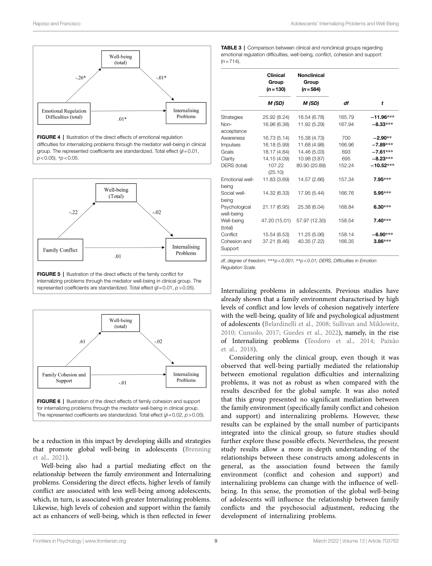<span id="page-8-0"></span>

FIGURE 4 | Illustration of the direct effects of emotional regulation difficulties for internalizing problems through the mediator well-being in clinical group. The represented coefficients are standardized. Total effect (*β*=0.01, *p*<0.05). \**p*<0.05.

<span id="page-8-1"></span>

internalizing problems through the mediator well-being in clinical group. The represented coefficients are standardized. Total effect (*β*=0.01, *p*>0.05).

<span id="page-8-2"></span>

be a reduction in this impact by developing skills and strategies that promote global well-being in adolescents [\(Brenning](#page-10-15)  [et al., 2021](#page-10-15)).

Well-being also had a partial mediating effect on the relationship between the family environment and Internalizing problems. Considering the direct effects, higher levels of family conflict are associated with less well-being among adolescents, which, in turn, is associated with greater Internalizing problems. Likewise, high levels of cohesion and support within the family act as enhancers of well-being, which is then reflected in fewer <span id="page-8-3"></span>TABLE 3 | Comparison between clinical and nonclinical groups regarding emotional regulation difficulties, well-being, conflict, cohesion and support  $(n=714)$ .

|                             | <b>Clinical</b><br>Group<br>$(n = 130)$ | <b>Nonclinical</b><br>Group<br>$(n = 584)$ |        |             |
|-----------------------------|-----------------------------------------|--------------------------------------------|--------|-------------|
|                             | M (SD)                                  | M (SD)                                     | df     | t           |
|                             |                                         |                                            |        |             |
| Strategies                  | 25.92 (8.24)                            | 16.54 (6.78)                               | 165.79 | $-11.96***$ |
| Non-                        | 16.96 (6.38)                            | 11.92 (5.29)                               | 167.94 | $-8.33***$  |
| acceptance                  |                                         |                                            |        |             |
| Awareness                   | 16.73 (5.14)                            | 15.38 (4.73)                               | 700    | $-2.90**$   |
| Impulses                    | 16.18 (5.99)                            | 11.68 (4.98)                               | 166.96 | $-7.89***$  |
| Goals                       | 18.17 (4.84)                            | 14.46 (5.03)                               | 693    | $-7.61***$  |
| Clarity                     | 14.15 (4.09)                            | 10.98 (3.87)                               | 695    | $-8.23***$  |
| DERS (total)                | 107.22<br>(25.10)                       | 80.90 (20.89)                              | 152.24 | $-10.52***$ |
| Emotional well-<br>being    | 11.83 (3.69)                            | 14.57 (2.66)                               | 157.34 | 7.95***     |
| Social well-<br>being       | 14.32 (6.33)                            | 17.95 (5.44)                               | 166.76 | 5.95***     |
| Psychological<br>well-being | 21.17 (6.95)                            | 25.38 (6.04)                               | 168.84 | $6.30***$   |
| Well-being<br>(total)       | 47.20 (15.01)                           | 57.97 (12.30)                              | 158.54 | 7.40***     |
| Conflict                    | 15.54 (6.53)                            | 11.25 (5.06)                               | 158.14 | $-6.90***$  |
| Cohesion and<br>Support     | 37.21 (8.46)                            | 40.35 (7.22)                               | 166.35 | $3.86***$   |

*df, degree of freedom;* \*\*\**p<0.001;* \*\**p<0.01; DERS, Difficulties in Emotion Regulation Scale.*

Internalizing problems in adolescents. Previous studies have already shown that a family environment characterised by high levels of conflict and low levels of cohesion negatively interfere with the well-being, quality of life and psychological adjustment of adolescents ([Belardinelli et al., 2008](#page-10-13); [Sullivan and Miklowitz,](#page-12-11)  [2010;](#page-12-11) [Cunsolo, 2017;](#page-10-3) [Guedes et al., 2022\)](#page-11-21), namely, in the rise of Internalizing problems [\(Teodoro et al., 2014;](#page-12-13) [Paixão](#page-11-20)  [et al., 2018](#page-11-20)).

Considering only the clinical group, even though it was observed that well-being partially mediated the relationship between emotional regulation difficulties and internalizing problems, it was not as robust as when compared with the results described for the global sample. It was also noted that this group presented no significant mediation between the family environment (specifically family conflict and cohesion and support) and internalizing problems. However, these results can be explained by the small number of participants integrated into the clinical group, so future studies should further explore these possible effects. Nevertheless, the present study results allow a more in-depth understanding of the relationships between these constructs among adolescents in general, as the association found between the family environment (conflict and cohesion and support) and internalizing problems can change with the influence of wellbeing. In this sense, the promotion of the global well-being of adolescents will influence the relationship between family conflicts and the psychosocial adjustment, reducing the development of internalizing problems.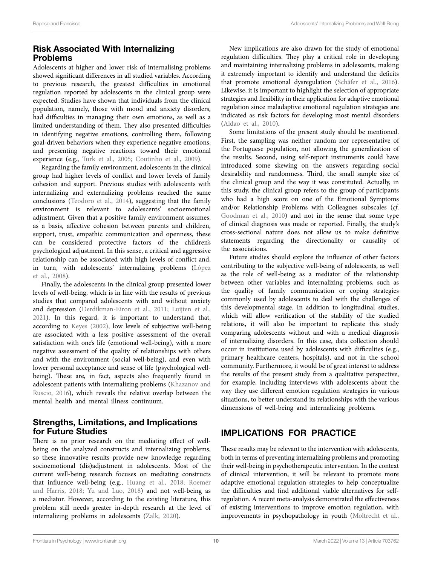# Risk Associated With Internalizing Problems

Adolescents at higher and lower risk of internalising problems showed significant differences in all studied variables. According to previous research, the greatest difficulties in emotional regulation reported by adolescents in the clinical group were expected. Studies have shown that individuals from the clinical population, namely, those with mood and anxiety disorders, had difficulties in managing their own emotions, as well as a limited understanding of them. They also presented difficulties in identifying negative emotions, controlling them, following goal-driven behaviors when they experience negative emotions, and presenting negative reactions toward their emotional experience (e.g., Turk et al., 2005; Coutinho et al., 2009).

Regarding the family environment, adolescents in the clinical group had higher levels of conflict and lower levels of family cohesion and support. Previous studies with adolescents with internalizing and externalizing problems reached the same conclusions ([Teodoro et al., 2014\)](#page-12-13), suggesting that the family environment is relevant to adolescents' socioemotional adjustment. Given that a positive family environment assumes, as a basis, affective cohesion between parents and children, support, trust, empathic communication and openness, these can be considered protective factors of the children's psychological adjustment. In this sense, a critical and aggressive relationship can be associated with high levels of conflict and, in turn, with adolescents' internalizing problems [\(López](#page-11-18)  [et al., 2008\)](#page-11-18).

Finally, the adolescents in the clinical group presented lower levels of well-being, which is in line with the results of previous studies that compared adolescents with and without anxiety and depression ([Derdikman-Eiron et al., 2011](#page-10-4); [Luijten et al.,](#page-11-17)  [2021\)](#page-11-17). In this regard, it is important to understand that, according to [Keyes \(2002\)](#page-11-1), low levels of subjective well-being are associated with a less positive assessment of the overall satisfaction with one's life (emotional well-being), with a more negative assessment of the quality of relationships with others and with the environment (social well-being), and even with lower personal acceptance and sense of life (psychological wellbeing). These are, in fact, aspects also frequently found in adolescent patients with internalizing problems [\(Khazanov and](#page-11-4)  [Ruscio, 2016](#page-11-4)), which reveals the relative overlap between the mental health and mental illness continuum.

# Strengths, Limitations, and Implications for Future Studies

There is no prior research on the mediating effect of wellbeing on the analyzed constructs and internalizing problems, so these innovative results provide new knowledge regarding socioemotional (dis)adjustment in adolescents. Most of the current well-being research focuses on mediating constructs that influence well-being (e.g., [Huang et al., 2018;](#page-11-33) [Roemer](#page-12-15)  [and Harris, 2018;](#page-12-15) [Yu and Luo, 2018](#page-12-16)) and not well-being as a mediator. However, according to the existing literature, this problem still needs greater in-depth research at the level of internalizing problems in adolescents ([Zalk, 2020\)](#page-12-17).

New implications are also drawn for the study of emotional regulation difficulties. They play a critical role in developing and maintaining internalizing problems in adolescents, making it extremely important to identify and understand the deficits that promote emotional dysregulation [\(Schäfer et al., 2016](#page-12-5)). Likewise, it is important to highlight the selection of appropriate strategies and flexibility in their application for adaptive emotional regulation since maladaptive emotional regulation strategies are indicated as risk factors for developing most mental disorders [\(Aldao et al., 2010](#page-10-9)).

Some limitations of the present study should be mentioned. First, the sampling was neither random nor representative of the Portuguese population, not allowing the generalization of the results. Second, using self-report instruments could have introduced some skewing on the answers regarding social desirability and randomness. Third, the small sample size of the clinical group and the way it was constituted. Actually, in this study, the clinical group refers to the group of participants who had a high score on one of the Emotional Symptoms and/or Relationship Problems with Colleagues subscales (*cf*. [Goodman et al., 2010\)](#page-11-30) and not in the sense that some type of clinical diagnosis was made or reported. Finally, the study's cross-sectional nature does not allow us to make definitive statements regarding the directionality or causality of the associations.

Future studies should explore the influence of other factors contributing to the subjective well-being of adolescents, as well as the role of well-being as a mediator of the relationship between other variables and internalizing problems, such as the quality of family communication or coping strategies commonly used by adolescents to deal with the challenges of this developmental stage. In addition to longitudinal studies, which will allow verification of the stability of the studied relations, it will also be important to replicate this study comparing adolescents without and with a medical diagnosis of internalizing disorders. In this case, data collection should occur in institutions used by adolescents with difficulties (e.g., primary healthcare centers, hospitals), and not in the school community. Furthermore, it would be of great interest to address the results of the present study from a qualitative perspective, for example, including interviews with adolescents about the way they use different emotion regulation strategies in various situations, to better understand its relationships with the various dimensions of well-being and internalizing problems.

# IMPLICATIONS FOR PRACTICE

These results may be relevant to the intervention with adolescents, both in terms of preventing internalizing problems and promoting their well-being in psychotherapeutic intervention. In the context of clinical intervention, it will be relevant to promote more adaptive emotional regulation strategies to help conceptualize the difficulties and find additional viable alternatives for selfregulation. A recent meta-analysis demonstrated the effectiveness of existing interventions to improve emotion regulation, with improvements in psychopathology in youth [\(Moltrecht et al.,](#page-11-34)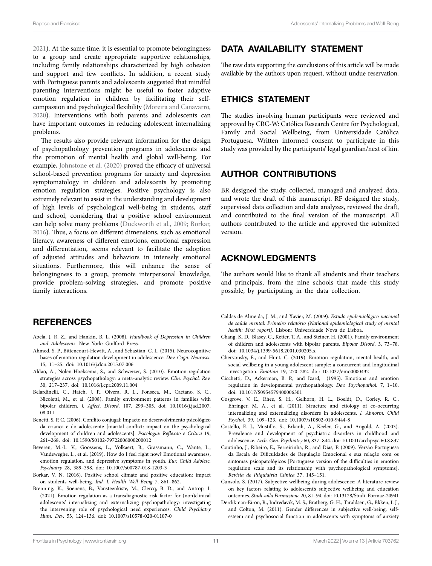[2021\)](#page-11-34). At the same time, it is essential to promote belongingness to a group and create appropriate supportive relationships, including family relationships characterized by high cohesion and support and few conflicts. In addition, a recent study with Portuguese parents and adolescents suggested that mindful parenting interventions might be useful to foster adaptive emotion regulation in children by facilitating their selfcompassion and psychological flexibility ([Moreira and Canavarro,](#page-11-35)  [2020\)](#page-11-35). Interventions with both parents and adolescents can have important outcomes in reducing adolescent internalizing problems.

The results also provide relevant information for the design of psychopathology prevention programs in adolescents and the promotion of mental health and global well-being. For example, [Johnstone et al. \(2020\)](#page-11-36) proved the efficacy of universal school-based prevention programs for anxiety and depression symptomatology in children and adolescents by promoting emotion regulation strategies. Positive psychology is also extremely relevant to assist in the understanding and development of high levels of psychological well-being in students, staff and school, considering that a positive school environment can help solve many problems ([Duckworth et al., 2009;](#page-11-37) [Borkar,](#page-10-16)  [2016\)](#page-10-16). Thus, a focus on different dimensions, such as emotional literacy, awareness of different emotions, emotional expression and differentiation, seems relevant to facilitate the adoption of adjusted attitudes and behaviors in intensely emotional situations. Furthermore, this will enhance the sense of belongingness to a group, promote interpersonal knowledge, provide problem-solving strategies, and promote positive family interactions.

### **REFERENCES**

- <span id="page-10-5"></span>Abela, J. R. Z., and Hankin, B. L. (2008). *Handbook of Depression in Children and Adolescents*. New York: Guilford Press.
- <span id="page-10-6"></span>Ahmed, S. P., Bittencourt-Hewitt, A., and Sebastian, C. L. (2015). Neurocognitive bases of emotion regulation development in adolescence. *Dev. Cogn. Neurosci.* 15, 11–25. doi: [10.1016/j.dcn.2015.07.006](https://doi.org/10.1016/j.dcn.2015.07.006)
- <span id="page-10-9"></span>Aldao, A., Nolen-Hoeksema, S., and Schweizer, S. (2010). Emotion-regulation strategies across psychopathology: a meta-analytic review. *Clin. Psychol. Rev.* 30, 217–237. doi: [10.1016/j.cpr.2009.11.004](https://doi.org/10.1016/j.cpr.2009.11.004)
- <span id="page-10-13"></span>Belardinelli, C., Hatch, J. P., Olvera, R. L., Fonseca, M., Caetano, S. C., Nicoletti, M., et al. (2008). Family environment patterns in families with bipolar children. *J. Affect. Disord.* 107, 299–305. doi: [10.1016/j.jad.2007.](https://doi.org/10.1016/j.jad.2007.08.011) [08.011](https://doi.org/10.1016/j.jad.2007.08.011)
- <span id="page-10-11"></span>Benetti, S. P. C. (2006). Conflito conjugal: Impacto no desenvolvimento psicológico da criança e do adolescente [marital conflict: impact on the psychological development of children and adolescents]. *Psicologia: Reflexão e Crítica* 19, 261–268. doi: [10.1590/S0102-79722006000200012](https://doi.org/10.1590/S0102-79722006000200012)
- <span id="page-10-7"></span>Beveren, M.-L. V., Goossens, L., Volkaert, B., Grassmann, C., Wante, L., Vandeweghe, L., et al. (2019). How do I feel right now? Emotional awareness, emotion regulation, and depressive symptoms in youth. *Eur. Child Adolesc. Psychiatry* 28, 389–398. doi: [10.1007/s00787-018-1203-3](https://doi.org/10.1007/s00787-018-1203-3)
- <span id="page-10-16"></span>Borkar, V. N. (2016). Positive school climate and positive education: impact on students well-being. *Ind. J. Health Well Being* 7, 861–862.
- <span id="page-10-15"></span>Brenning, K., Soenens, B., Vansteenkiste, M., Clercq, B. D., and Antrop, I. (2021). Emotion regulation as a transdiagnostic risk factor for (non)clinical adolescents' internalizing and externalizing psychopathology: investigating the intervening role of psychological need experiences. *Child Psychiatry Hum. Dev.* 53, 124–136. doi: [10.1007/s10578-020-01107-0](https://doi.org/10.1007/s10578-020-01107-0)

## DATA AVAILABILITY STATEMENT

The raw data supporting the conclusions of this article will be made available by the authors upon request, without undue reservation.

# ETHICS STATEMENT

The studies involving human participants were reviewed and approved by CRC-W: Católica Research Centre for Psychological, Family and Social Wellbeing, from Universidade Católica Portuguesa. Written informed consent to participate in this study was provided by the participants' legal guardian/next of kin.

## AUTHOR CONTRIBUTIONS

BR designed the study, collected, managed and analyzed data, and wrote the draft of this manuscript. RF designed the study, supervised data collection and data analyzes, reviewed the draft, and contributed to the final version of the manuscript. All authors contributed to the article and approved the submitted version.

# ACKNOWLEDGMENTS

The authors would like to thank all students and their teachers and principals, from the nine schools that made this study possible, by participating in the data collection.

- <span id="page-10-1"></span>Caldas de Almeida, J. M., and Xavier, M. (2009). *Estudo epidemiológico nacional de saúde mental: Primeiro relatório [National epidemiological study of mental health: First report]*. Lisbon: Universidade Nova de Lisboa.
- <span id="page-10-12"></span>Chang, K. D., Blasey, C., Ketter, T. A., and Steiner, H. (2001). Family environment of children and adolescents with bipolar parents. *Bipolar Disord.* 3, 73–78. doi: [10.1034/j.1399-5618.2001.030205.x](https://doi.org/10.1034/j.1399-5618.2001.030205.x)
- <span id="page-10-10"></span>Chervonsky, E., and Hunt, C. (2019). Emotion regulation, mental health, and social wellbeing in a young adolescent sample: a concurrent and longitudinal investigation. *Emotion* 19, 270–282. doi: [10.1037/emo0000432](https://doi.org/10.1037/emo0000432)
- <span id="page-10-8"></span>Cicchetti, D., Ackerman, B. P., and Izard, (1995). Emotions and emotion regulation in developmental psychopathology. *Dev. Psychopathol.* 7, 1–10. doi: [10.1017/S0954579400006301](https://doi.org/10.1017/S0954579400006301)
- <span id="page-10-2"></span>Cosgrove, V. E., Rhee, S. H., Gelhorn, H. L., Boeldt, D., Corley, R. C., Ehringer, M. A., et al. (2011). Structure and etiology of co-occurring internalizing and externalizing disorders in adolescents. *J. Abnorm. Child Psychol.* 39, 109–123. doi: [10.1007/s10802-010-9444-8](https://doi.org/10.1007/s10802-010-9444-8)
- <span id="page-10-0"></span>Costello, E. J., Mustillo, S., Erkanli, A., Keeler, G., and Angold, A. (2003). Prevalence and development of psychiatric disorders in childhood and adolescence. *Arch. Gen. Psychiatry* 60, 837–844. doi: [10.1001/archpsyc.60.8.837](https://doi.org/10.1001/archpsyc.60.8.837)
- <span id="page-10-14"></span>Coutinho, J., Ribeiro, E., Ferreirinha, R., and Dias, P. (2009). Versão Portuguesa da Escala de Dificuldades de Regulação Emocional e sua relação com os sintomas psicopatológicos [Portuguese version of the difficulties in emotion regulation scale and its relationship with psychopathological symptoms]. *Revista de Psiquiatria Clínica* 37, 145–151.
- <span id="page-10-3"></span>Cunsolo, S. (2017). Subjective wellbeing during adolescence: A literature review on key factors relating to adolescent's subjective wellbeing and education outcomes. *Studi sulla Formazione* 20, 81–94. doi: [10.13128/Studi\\_Formaz-20941](https://doi.org/10.13128/Studi_Formaz-20941)
- <span id="page-10-4"></span>Derdikman-Eiron, R., Indredavik, M. S., Bratberg, G. H., Taraldsen, G., Bkken, I. J., and Colton, M. (2011). Gender differences in subjective well-being, selfesteem and psychosocial function in adolescents with symptoms of anxiety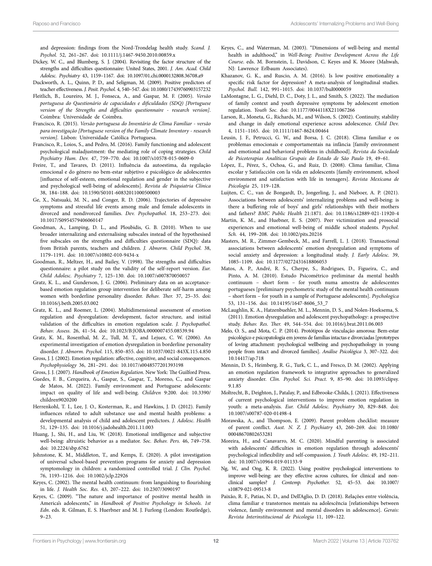and depression: findings from the Nord-Trondelag health study. *Scand. J. Psychol.* 52, 261–267. doi: [10.1111/j.1467-9450.2010.00859.x](https://doi.org/10.1111/j.1467-9450.2010.00859.x)

- <span id="page-11-31"></span>Dickey, W. C., and Blumberg, S. J. (2004). Revisiting the factor structure of the strengths and difficulties questionnaire: United States, 2001. *J. Am. Acad. Child Adolesc. Psychiatry* 43, 1159–1167. doi: [10.1097/01.chi.0000132808.36708.a9](https://doi.org/10.1097/01.chi.0000132808.36708.a9)
- <span id="page-11-37"></span>Duckworth, A. L., Quinn, P. D., and Seligman, M. (2009). Positive predictors of teacher effectiveness. *J. Posit. Psychol.* 4, 540–547. doi: [10.1080/17439760903157232](https://doi.org/10.1080/17439760903157232)
- <span id="page-11-29"></span>Fleitlich, B., Loureiro, M. J., Fonseca, A., and Gaspar, M. F. (2005). *Versão portuguesa do Questionário de capacidades e dificuldades (SDQ) [Portuguese version of the Strengths and difficulties questionnaire - research version]*. Coimbra: Universidade de Coimbra.
- <span id="page-11-27"></span>Francisco, R. (2015). *Versão portuguesa do Inventário de Clima Familiar - versão para investigação [Portuguese version of the Family Climate Inventory - research version]*. Lisbon: Universidade Católica Portuguesa.
- <span id="page-11-23"></span>Francisco, R., Loios, S., and Pedro, M. (2016). Family functioning and adolescent psychological maladjustment: the mediating role of coping strategies. *Child Psychiatry Hum. Dev.* 47, 759–770. doi: [10.1007/s10578-015-0609-0](https://doi.org/10.1007/s10578-015-0609-0)
- <span id="page-11-32"></span>Freire, T., and Tavares, D. (2011). Influência da autoestima, da regulação emocional e do género no bem-estar subjetivo e psicológico de adolescentes [influence of self-esteem, emotional regulation and gender in the subjective and psychological well-being of adolescents]. *Revista de Psiquiatria Clínica* 38, 184–188. doi: [10.1590/S0101-60832011000500003](https://doi.org/10.1590/S0101-60832011000500003)
- <span id="page-11-5"></span>Ge, X., Natsuaki, M. N., and Conger, R. D. (2006). Trajectories of depressive symptoms and stressful life events among male and female adolescents in divorced and nondivorced families. *Dev. Psychopathol.* 18, 253–273. doi: [10.1017/S0954579406060147](https://doi.org/10.1017/S0954579406060147)
- <span id="page-11-30"></span>Goodman, A., Lamping, D. L., and Ploubidis, G. B. (2010). When to use broader internalizing and externalising subscales instead of the hypothesised five subscales on the strengths and difficulties questionnaire (SDQ): data from British parents, teachers and children. *J. Abnorm. Child Psychol.* 38, 1179–1191. doi: [10.1007/s10802-010-9434-x](https://doi.org/10.1007/s10802-010-9434-x)
- <span id="page-11-28"></span>Goodman, R., Meltzer, H., and Bailey, V. (1998). The strengths and difficulties questionnaire: a pilot study on the validity of the self-report version. *Eur. Child Adolesc. Psychiatry* 7, 125–130. doi: [10.1007/s007870050057](https://doi.org/10.1007/s007870050057)
- <span id="page-11-11"></span>Gratz, K. L., and Gunderson, J. G. (2006). Preliminary data on an acceptancebased emotion regulation group intervention for deliberate self-harm among women with borderline personality disorder. *Behav. Ther.* 37, 25–35. doi: [10.1016/j.beth.2005.03.002](https://doi.org/10.1016/j.beth.2005.03.002)
- <span id="page-11-12"></span>Gratz, K. L., and Roemer, L. (2004). Multidimensional assessment of emotion regulation and dysregulation: development, factor structure, and initial validation of the difficulties in emotion regulation scale. *J. Psychopathol. Behav. Assess.* 26, 41–54. doi: [10.1023/B:JOBA.0000007455.08539.94](https://doi.org/10.1023/B:JOBA.0000007455.08539.94)
- <span id="page-11-10"></span>Gratz, K. M., Rosenthal, M. Z., Tull, M. T., and Lejuez, C. W. (2006). An experimental investigation of emotion dysregulation in borderline personality disorder. *J. Abnorm. Psychol.* 115, 850–855. doi: [10.1037/0021-843X.115.4.850](https://doi.org/10.1037/0021-843X.115.4.850)
- <span id="page-11-8"></span>Gross, J. J. (2002). Emotion regulation: affective, cognitive, and social consequences. *Psychophysiology* 36, 281–291. doi: [10.1017/s0048577201393198](https://doi.org/10.1017/s0048577201393198)
- <span id="page-11-9"></span>Gross, J. J. (2007). *Handbook of Emotion Regulation*. New York: The Guilford Press.
- <span id="page-11-21"></span>Guedes, F. B., Cerqueira, A., Gaspar, S., Gaspar, T., Moreno, C., and Gaspar de Matos, M. (2022). Family environment and Portuguese adolescents: impact on quality of life and well-being. *Children* 9:200. doi: [10.3390/](https://doi.org/10.3390/children9020200) [children9020200](https://doi.org/10.3390/children9020200)
- <span id="page-11-16"></span>Herrenkohl, T. I., Lee, J. O., Kosterman, R., and Hawkins, J. D. (2012). Family influences related to adult substance use and mental health problems: a developmental analysis of child and adolescent predictors. *J. Adolesc. Health* 51, 129–135. doi: [10.1016/j.jadohealth.2011.11.003](https://doi.org/10.1016/j.jadohealth.2011.11.003)
- <span id="page-11-33"></span>Huang, J., Shi, H., and Liu, W. (2018). Emotional intelligence and subjective well-being: altruistic behavior as a mediator. *Soc. Behav. Pers.* 46, 749–758. doi: [10.2224/sbp.6762](https://doi.org/10.2224/sbp.6762)
- <span id="page-11-36"></span>Johnstone, K. M., Middleton, T., and Kemps, E. (2020). A pilot investigation of universal school-based prevention programs for anxiety and depression symptomology in children: a randomized controlled trial. *J. Clin. Psychol.* 76, 1193–1216. doi: [10.1002/jclp.22926](https://doi.org/10.1002/jclp.22926)
- <span id="page-11-1"></span>Keyes, C. (2002). The mental health continuum: from languishing to flourishing in life. *J. Health Soc. Res.* 43, 207–222. doi: [10.2307/3090197](https://doi.org/10.2307/3090197)
- <span id="page-11-25"></span>Keyes, C. (2009). "The nature and importance of positive mental health in America's adolescents," in *Handbook of Positive Psychology in Schools. 1st Edn*. eds. R. Gilman, E. S. Huerbner and M. J. Furlong (London: Routledge), 9–23.
- <span id="page-11-0"></span>Keyes, C., and Waterman, M. (2003). "Dimensions of well-being and mental health in adulthood," in *Well-Being: Positive Development Across the Life Course*. eds. M. Bornstein, L. Davidson, C. Keyes and K. Moore (Mahwah, NJ: Lawrence Erlbaum Associates).
- <span id="page-11-4"></span>Khazanov, G. K., and Ruscio, A. M. (2016). Is low positive emotionality a specific risk factor for depression? A meta-analysis of longitudinal studies. *Psychol. Bull.* 142, 991–1015. doi: [10.1037/bul0000059](https://doi.org/10.1037/bul0000059)
- <span id="page-11-22"></span>LaMontagne, L. G., Diehl, D. C., Doty, J. L., and Smith, S. (2022). The mediation of family context and youth depressive symptoms by adolescent emotion regulation. *Youth Soc.* doi: [10.1177/0044118X211067266](https://doi.org/10.1177/0044118X211067266)
- <span id="page-11-15"></span>Larson, R., Moneta, G., Richards, M., and Wilson, S. (2002). Continuity, stability and change in daily emotional experience across adolescence. *Child Dev.* 4, 1151–1165. doi: [10.1111/1467-8624.00464](https://doi.org/10.1111/1467-8624.00464)
- <span id="page-11-24"></span>Leusin, J. F., Petrucci, G. W., and Borsa, J. C. (2018). Clima familiar e os problemas emocionais e comportamentais na infância [family environment and emotional and behavioral problems in childhood]. *Revista da Sociedade de Psicoterapias Analíticas Grupais do Estado de São Paulo* 19, 49–61.
- <span id="page-11-18"></span>López, E., Pérez, S., Ochoa, G., and Ruiz, D. (2008). Clima familiar, Clima escolar y Satisfacción con la vida en adolescents [family environment, school environment and satisfaction with life in teenagers]. *Revista Mexicana de Psicología* 25, 119–128.
- <span id="page-11-17"></span>Luijten, C. C., van de Bongardt, D., Jongerling, J., and Nieboer, A. P. (2021). Associations between adolescents' internalizing problems and well-being: is there a buffering role of boys' and girls' relationships with their mothers and fathers? *BMC Public Health* 21:1871. doi: [10.1186/s12889-021-11920-4](https://doi.org/10.1186/s12889-021-11920-4)
- <span id="page-11-2"></span>Martin, K. M., and Huebner, E. S. (2007). Peer victimization and prosocial experiences and emotional well-being of middle school students. *Psychol. Sch.* 44, 199–208. doi: [10.1002/pits.20216](https://doi.org/10.1002/pits.20216)
- <span id="page-11-13"></span>Masters, M. R., Zimmer-Gembeck, M., and Farrell, L. J. (2018). Transactional associations between adolescents' emotion dysregulation and symptoms of social anxiety and depression: a longitudinal study. *J. Early Adolesc.* 39, 1085–1109. doi: [10.1177/0272431618806053](https://doi.org/10.1177/0272431618806053)
- <span id="page-11-26"></span>Matos, A. P., André, R. S., Cherpe, S., Rodrigues, D., Figueira, C., and Pinto, A. M. (2010). Estudo Psicométrico preliminar da mental health continuum – short form – for youth numa amostra de adolescentes portugueses [preliminary psychometric study of the mental health continuum – short form – for youth in a sample of Portuguese adolescents]. *Psychologica* 53, 131–156. doi: [10.14195/1647-8606\\_53\\_7](https://doi.org/10.14195/1647-8606_53_7)
- <span id="page-11-7"></span>McLaughlin, K. A., Hatzenbuehler, M. L., Mennin, D. S., and Nolen-Hoeksema, S. (2011). Emotion dysregulation and adolescent psychopathology: a prospective study. *Behav. Res. Ther.* 49, 544–554. doi: [10.1016/j.brat.2011.06.003](https://doi.org/10.1016/j.brat.2011.06.003)
- <span id="page-11-3"></span>Melo, O. S., and Mota, C. P. (2014). Protótipos de vinculação amorosa: Bem-estar psicológico e psicopatologia em jovens de famílias intactas e divorciadas [prototypes of loving attachment: psychological wellbeing and psychopathology in young people from intact and divorced families]. *Análise Psicológica* 3, 307–322. doi: [10.14417/ap.718](https://doi.org/10.14417/ap.718)
- <span id="page-11-14"></span>Mennin, D. S., Heimberg, R. G., Turk, C. L., and Fresco, D. M. (2002). Applying an emotion regulation framework to integrative approaches to generalized anxiety disorder. *Clin. Psychol. Sci. Pract.* 9, 85–90. doi: [10.1093/clipsy.](https://doi.org/10.1093/clipsy.9.1.85) [9.1.85](https://doi.org/10.1093/clipsy.9.1.85)
- <span id="page-11-34"></span>Moltrecht, B., Deighton, J., Patalay, P., and Edbrooke-Childs, J. (2021). Effectiveness of current psychological interventions to improve emotion regulation in youth: a meta-analysis. *Eur. Child Adolesc. Psychiatry* 30, 829–848. doi: [10.1007/s00787-020-01498-4](https://doi.org/10.1007/s00787-020-01498-4)
- <span id="page-11-19"></span>Morawska, A., and Thompson, E. (2009). Parent problem checklist: measure of parent conflict. *Aust. N. Z. J. Psychiatry* 43, 260–269. doi: [10.1080/](https://doi.org/10.1080/00048670802653281) [00048670802653281](https://doi.org/10.1080/00048670802653281)
- <span id="page-11-35"></span>Moreira, H., and Canavarro, M. C. (2020). Mindful parenting is associated with adolescents' difficulties in emotion regulation through adolescents' psychological inflexibility and self-compassion. *J. Youth Adolesc.* 49, 192–211. doi: [10.1007/s10964-019-01133-9](https://doi.org/10.1007/s10964-019-01133-9)
- <span id="page-11-6"></span>Ng, W., and Ong, K. R. (2022). Using positive psychological interventions to improve well-being: are they effective across cultures, for clinical and nonclinical samples? *J. Contemp. Psychother.* 52, 45–53. doi: [10.1007/](https://doi.org/10.1007/s10879-021-09513-8) [s10879-021-09513-8](https://doi.org/10.1007/s10879-021-09513-8)
- <span id="page-11-20"></span>Paixão, R. F., Patias, N. D., and Dell'Aglio, D. D. (2018). Relações entre violência, clima familiar e transtornos mentais na adolescência [relationships between violence, family environment and mental disorders in adolescence]. *Gerais: Revista Interinstitucional de Psicologia* 11, 109–122.